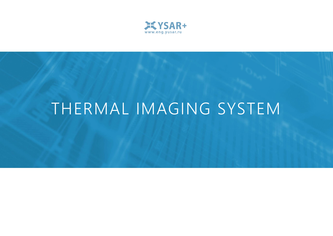

# THERMAL IMAGING SYSTEM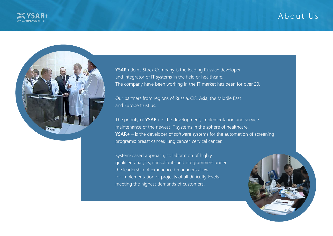



**YSAR+** Joint-Stock Company is the leading Russian developer and integrator of IT systems in the field of healthcare. The company have been working in the IT market has been for over 20.

Our partners from regions of Russia, CIS, Asia, the Middle East and Europe trust us.

The priority of **YSAR+** is the development, implementation and service maintenance of the newest IT systems in the sphere of healthcare. **YSAR+** – is the developer of software systems for the automation of screening programs: breast cancer, lung cancer, cervical cancer.

System-based approach, collaboration of highly qualified analysts, consultants and programmers under the leadership of experienced managers allow for implementation of projects of all difficulty levels, meeting the highest demands of customers.

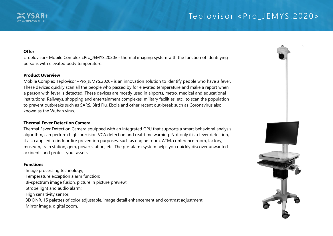

# Teplovisor «Pro\_JEMYS.2020»

## **Offer**

«Teplovisor» Mobile Complex «Pro\_JEMYS.2020» - thermal imaging system with the function of identifying persons with elevated body temperature.

### **Product Overview**

Mobile Complex Teplovisor «Pro JEMYS.2020» is an innovation solution to identify people who have a fever. These devices quickly scan all the people who passed by for elevated temperature and make a report when a person with fever is detected. These devices are mostly used in airports, metro, medical and educational institutions, Railways, shopping and entertainment complexes, military facilities, etc., to scan the population to prevent outbreaks such as SARS, Bird Flu, Ebola and other recent out-break such as Coronavirus also known as the Wuhan virus.

# **Thermal Fever Detection Camera**

Thermal Fever Detection Camera equipped with an integrated GPU that supports a smart behavioral analysis algorithm, can perform high-precision VCA detection and real-time warning. Not only itis a fever detection, it also applied to indoor fire prevention purposes, such as engine room, ATM, conference room, factory, museum, train station, gem, power station, etc. The pre-alarm system helps you quickly discover unwanted accidents and protect your assets.

# **Functions**

- · Image processing technology;
- · Temperature exception alarm function;
- · Bi-spectrum image fusion, picture in picture preview;
- · Strobe light and audio alarm;
- · High sensitivity sensor;
- · 3D DNR, 15 palettes of color adjustable, image detail enhancement and contrast adjustment;
- · Mirror image, digital zoom.

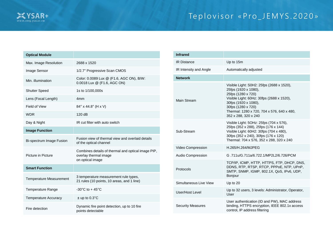

# Te plovisor «Pro\_JEMYS.2020»

| <b>Optical Module</b>          |                                                                                                 |
|--------------------------------|-------------------------------------------------------------------------------------------------|
| Max. Image Resolution          | 2688 x 1520                                                                                     |
| Image Sensor                   | 1/2.7" Progressive Scan CMOS                                                                    |
| Min. illumination              | Color: 0.0089 Lux @ (F1.6, AGC ON), B/W:<br>0.0018 Lux @ (F1.6, AGC ON)                         |
| <b>Shutter Speed</b>           | 1s to 1/100,000s                                                                                |
| Lens (Focal Length)            | 4 <sub>mm</sub>                                                                                 |
| Field of View                  | 84° x 44.8° (H x V)                                                                             |
| <b>WDR</b>                     | 120 dB                                                                                          |
| Day & Night                    | IR cut filter with auto switch                                                                  |
| <b>Image Function</b>          |                                                                                                 |
| Bi-spectrum Image Fusion       | Fusion view of thermal view and overlaid details<br>of the optical channel                      |
| Picture in Picture             | Combines details of thermal and optical image PIP,<br>overlay thermal image<br>on optical image |
| <b>Smart Function</b>          |                                                                                                 |
| <b>Temperature Measurement</b> | 3 temperature measurement rule types,<br>21 rules (10 points, 10 areas, and 1 line)             |
| <b>Temperature Range</b>       | -30 $^{\circ}$ C to + 45 $^{\circ}$ C                                                           |
| <b>Temperature Accuracy</b>    | $±$ up to 0.3 $°C$                                                                              |
| Fire detection                 | Dynamic fire point detection, up to 10 fire<br>points detectable                                |

| <b>Infrared</b>          |                                                                                                                                                                                                                                                          |  |
|--------------------------|----------------------------------------------------------------------------------------------------------------------------------------------------------------------------------------------------------------------------------------------------------|--|
| <b>IR Distance</b>       | Up to 15m                                                                                                                                                                                                                                                |  |
| IR Intensity and Angle   | Automatically adjusted                                                                                                                                                                                                                                   |  |
| <b>Network</b>           |                                                                                                                                                                                                                                                          |  |
| <b>Main Stream</b>       | Visible Light: S0H2: 25fps (2688 x 1520),<br>25fps (1920 x 1080),<br>25fps (1280 x 720)<br>Visible Light: 60Hz: 30fps (2688 x 1520),<br>30fps (1920 x 1080),<br>30fps (1280 x 720)<br>Thermal: 1280 x 720, 704 x 576, 640 x 480,<br>352 x 288, 320 x 240 |  |
| Sub-Stream               | Visible Light: 5OHz: 25fps (704 x 576),<br>25fps (352 x 288), 25fps (176 x 144)<br>Visible Light: 60H2: 30fps (704 x 480),<br>30fps (352 x 240), 30fps (176 x 120)<br>Thermal: 704 x 576, 352 x 288, 320 x 240                                           |  |
| Video Compression        | H.265/H.264/MJPEG                                                                                                                                                                                                                                        |  |
| Audio Compression        | G.711u/G.711a/6.722.1/MP2L2/6.726/PCM                                                                                                                                                                                                                    |  |
| Protocols                | TCP/IP, ICMP, HTTP, HTTPS, FTP, DHCP, DNS,<br>DDNS, RTP, RTSP, RTCP, PPPoE, NTP, UPnP,<br>SMTP, SNMP, IGMP, 802.1X, QoS, IPv6, UDP,<br>Bonjour                                                                                                           |  |
| Simultaneous Live View   | Up to 20                                                                                                                                                                                                                                                 |  |
| User/Host Level          | Up to 32 users, 3 levels: Administrator, Operator,<br>User                                                                                                                                                                                               |  |
| <b>Security Measures</b> | User authentication (ID and PW), MAC address<br>binding, HTTPS encryption, IEEE 802.1x access<br>control, IP address filtering                                                                                                                           |  |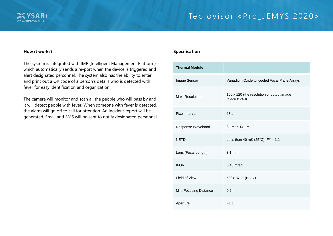

# Teplovisor «Pro\_JEMYS.2020»

# **How it works?**

The system is integrated with IMP (Intelligent Management Platform) which automatically sends a re-port when the device is triggered and alert designated personnel. The system also has the ability to enter and print out a QR code of a person's details who is detected with fever for easy identification and organization.

The camera will monitor and scan all the people who will pass by and it will detect people with fever. When someone with fever is detected, the alarm will go off to call for attention. An incident report will be generated. Email and SMS will be sent to notify designated personnel.

# **Specification**

| <b>Thermal Module</b>  |                                                            |
|------------------------|------------------------------------------------------------|
| Image Sensor           | Vanadium Oxide Uncooled Focal Plane Arrays                 |
| Max. Resolution        | 160 x 120 (the resolution of output image<br>is 320 x 240) |
| <b>Pixel Interval</b>  | $17 \mu m$                                                 |
| Response Waveband      | 8 µm to 14 µm                                              |
| <b>NETD</b>            | Less than 40 mK (25°C), $F# = 1.1$                         |
| Lens (Focal Length)    | $3.1 \text{ mm}$                                           |
| <b>IFOV</b>            | 5.48 mrad                                                  |
| Field of View          | 50° x 37.2" (H x V)                                        |
| Min. Focusing Distance | 0.2 <sub>m</sub>                                           |
| Aperture               | F1.1                                                       |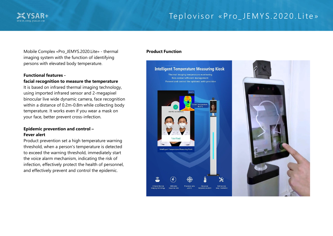

# Te plovisor «Pro\_JEMYS.2020.Lite»

Mobile Complex «Pro\_JEMYS.2020.Lite» - thermal imaging system with the function of identifying persons with elevated body temperature.

# **Functional features -**

### **facial recognition to measure the temperature**

It is based on infrared thermal imaging technology, using imported infrared sensor and 2-megapixel binocular live wide dynamic camera, face recognition within a distance of 0.2m-0.8m while collecting body temperature. It works even if you wear a mask on your face, better prevent cross-infection.

# **Epidemic prevention and control – Fever alert**

Product prevention set a high temperature warning threshold, when a person's temperature is detected to exceed the warning threshold, immediately start the voice alarm mechanism, indicating the risk of infection, effectively protect the health of personnel, and effectively prevent and control the epidemic.

# **Product Function**



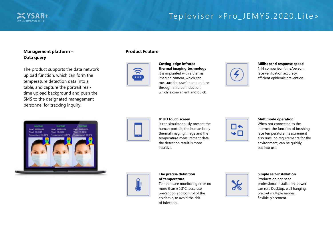

# Te plovisor «Pro\_JEMYS.2020.Lite»

# **Management platform – Data query**

The product supports the data network upload function, which can form the temperature detection data into a table, and capture the portrait realtime upload background and push the SMS to the designated management personnel for tracking inquiry.



# **Product Feature**



**Cutting-edge infrared thermal imaging technology** It is implanted with a thermal imaging camera, which can measure the user's temperature through infrared induction, which is convenient and quick.

### **Millisecond response speed**

1: N comparison time/person, face verification accuracy, efficient epidemic prevention.

|  | ٠ |  |
|--|---|--|
|  |   |  |

### **8"HD touch screen**

It can simultaneously present the human portrait, the human body thermal imaging image and the temperature measurement data, the detection result is more intuitive.



### **Multimode operation**

When not connected to the Internet, the function of brushing face temperature measurement also runs, no requirements for the environment, can be quickly put into use.



# **The precise definition of temperature** Temperature monitoring error no more than ±0.3°C, accurate

prevention and control of the epidemic, to avoid the risk of infection..



### **Simple self-installation**

Products do not need professional installation, power can run; Desktop, wall hanging, bracket multiple modes, flexible placement.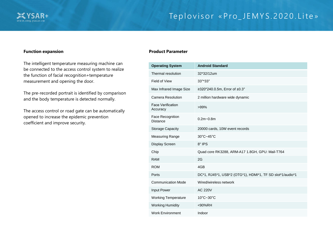

# Te plovisor «Pro\_JEMYS.2020.Lite»

# **Function expansion**

The intelligent temperature measuring machine can be connected to the access control system to realize the function of facial recognition+temperature measurement and opening the door.

The pre-recorded portrait is identified by comparison and the body temperature is detected normally.

The access control or road gate can be automatically opened to increase the epidemic prevention coefficient and improve security.

# **Product Parameter**

| <b>Operating System</b>              | <b>Android Standard</b>                                   |
|--------------------------------------|-----------------------------------------------------------|
| Thermal resolution                   | 32*32/12um                                                |
| Field of View                        | 33°*33°                                                   |
| Max Infrared Image Size              | ≥320*240.0.5m, Error of ±0.3°                             |
| <b>Camera Resolution</b>             | 2 million hardware wide dynamic                           |
| <b>Face Verification</b><br>Accuracy | $>99\%$                                                   |
| Face Recognition<br><b>Distance</b>  | $0.2m - 0.8m$                                             |
| <b>Storage Capacity</b>              | 20000 cards, 10W event records                            |
| <b>Measuring Range</b>               | $30^{\circ}$ C $-45^{\circ}$ C                            |
| Display Screen                       | 8" IPS                                                    |
| Chip                                 | Quad core RK3288, ARM-A17 1.8GH, GPU: Mail-T764           |
| <b>RAM</b>                           | 2G                                                        |
| <b>ROM</b>                           | 4GB                                                       |
| Ports                                | DC*1, RJ45*1, USB*2 (OTG*1), HDMI*1, TF SD slot*1/audio*1 |
| <b>Communication Mode</b>            | Wired/wireless network                                    |
| Input Power                          | <b>AC 220V</b>                                            |
| <b>Working Temperature</b>           | $10^{\circ}$ C $-30^{\circ}$ C                            |
| <b>Working Humidity</b>              | $<$ 90%RH                                                 |
| <b>Work Environment</b>              | Indoor                                                    |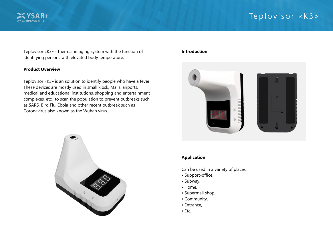

# Teplovisor «K3»

Teplovisor «К3» - thermal imaging system with the function of identifying persons with elevated body temperature.

# **Product Overview**

Teplovisor «К3» is an solution to identify people who have a fever. These devices are mostly used in small kiosk, Malls, airports, medical and educational institutions, shopping and entertainment complexes, etc., to scan the population to prevent outbreaks such as SARS, Bird Flu, Ebola and other recent outbreak such as Coronavirus also known as the Wuhan virus.



### **Introduction**



# **Application**

Can be used in a variety of places:

- Support-office,
- Subway,
- Home,
- Supermall shop,
- Community,
- Entrance,
- Etc.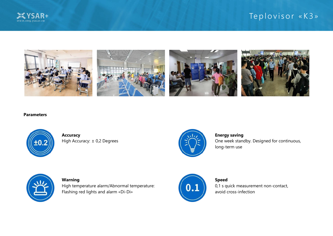

# Teplovisor «K3»



# **Parameters**



# **Accuracy** High Accuracy: ± 0,2 Degrees



# **Energy saving** One week standby. Designed for continuous, long-term use



# **Warning**

High temperature alarm/Abnormal temperature: Flashing red lights and alarm «Di-Di»



# **Speed**

0,1 s quick measurement non-contact, avoid cross-infection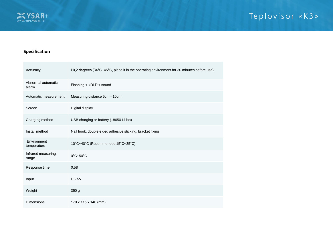

### **Specification Specification**

| Accuracy                    | £0,2 degrees (34°C~45°C, place it in the operating environment for 30 minutes before use) |
|-----------------------------|-------------------------------------------------------------------------------------------|
| Abnormal automatic<br>alarm | Flashing + «Di-Di» sound                                                                  |
| Automatic measurement       | Measuring distance 5cm - 10cm                                                             |
| Screen                      | Digital display                                                                           |
| Charging method             | USB charging or battery (18650 Li-ion)                                                    |
| Install method              | Nail hook, double-sided adhesive sticking, bracket fixing                                 |
| Environment<br>temperature  | 10°C~40°C (Recommended 15°C~35°C)                                                         |
| Infrared measuring<br>range | $0^{\circ}$ C~50 $^{\circ}$ C                                                             |
| Response time               | 0.58                                                                                      |
| Input                       | DC <sub>5V</sub>                                                                          |
| Weight                      | 350 <sub>g</sub>                                                                          |
| <b>Dimensions</b>           | 170 x 115 x 140 (mm)                                                                      |